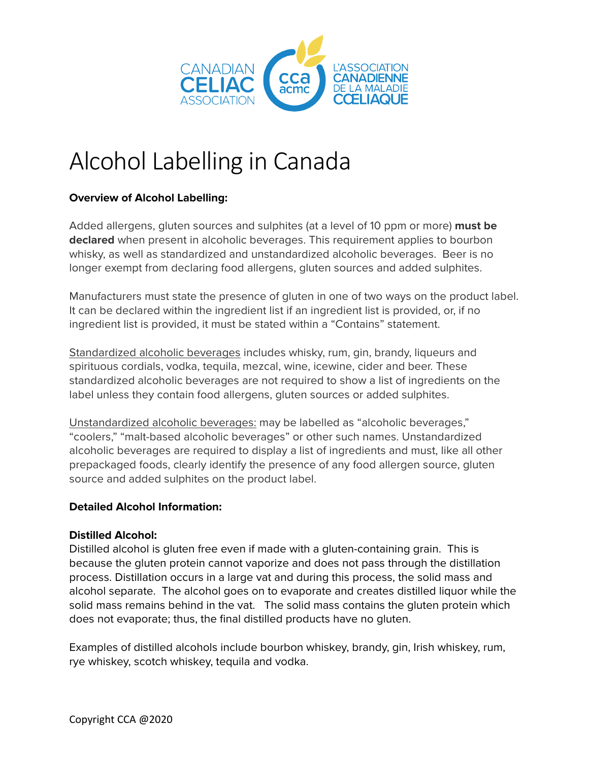

# Alcohol Labelling in Canada

## **Overview of Alcohol Labelling:**

Added allergens, gluten sources and sulphites (at a level of 10 ppm or more) **must be declared** when present in alcoholic beverages. This requirement applies to bourbon whisky, as well as standardized and unstandardized alcoholic beverages. Beer is no longer exempt from declaring food allergens, gluten sources and added sulphites.

Manufacturers must state the presence of gluten in one of two ways on the product label. It can be declared within the ingredient list if an ingredient list is provided, or, if no ingredient list is provided, it must be stated within a "Contains" statement.

Standardized alcoholic beverages includes whisky, rum, gin, brandy, liqueurs and spirituous cordials, vodka, tequila, mezcal, wine, icewine, cider and beer. These standardized alcoholic beverages are not required to show a list of ingredients on the label unless they contain food allergens, gluten sources or added sulphites.

Unstandardized alcoholic beverages: may be labelled as "alcoholic beverages," "coolers," "malt-based alcoholic beverages" or other such names. Unstandardized alcoholic beverages are required to display a list of ingredients and must, like all other prepackaged foods, clearly identify the presence of any food allergen source, gluten source and added sulphites on the product label.

### **Detailed Alcohol Information:**

#### **Distilled Alcohol:**

Distilled alcohol is gluten free even if made with a gluten-containing grain. This is because the gluten protein cannot vaporize and does not pass through the distillation process. Distillation occurs in a large vat and during this process, the solid mass and alcohol separate. The alcohol goes on to evaporate and creates distilled liquor while the solid mass remains behind in the vat. The solid mass contains the gluten protein which does not evaporate; thus, the final distilled products have no gluten.

Examples of distilled alcohols include bourbon whiskey, brandy, gin, Irish whiskey, rum, rye whiskey, scotch whiskey, tequila and vodka.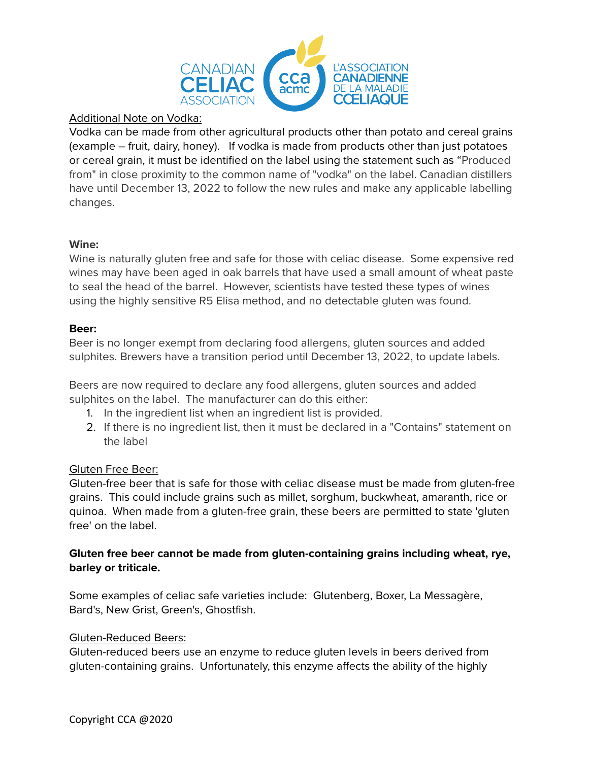

#### Additional Note on Vodka:

Vodka can be made from other agricultural products other than potato and cereal grains (example – fruit, dairy, honey). If vodka is made from products other than just potatoes or cereal grain, it must be identified on the label using the statement such as "Produced from" in close proximity to the common name of "vodka" on the label. Canadian distillers have until December 13, 2022 to follow the new rules and make any applicable labelling changes.

#### **Wine:**

Wine is naturally gluten free and safe for those with celiac disease. Some expensive red wines may have been aged in oak barrels that have used a small amount of wheat paste to seal the head of the barrel. However, scientists have tested these types of wines using the highly sensitive R5 Elisa method, and no detectable gluten was found.

#### **Beer:**

Beer is no longer exempt from declaring food allergens, gluten sources and added sulphites. Brewers have a transition period until December 13, 2022, to update labels.

Beers are now required to declare any food allergens, gluten sources and added sulphites on the label. The manufacturer can do this either:

- 1. In the ingredient list when an ingredient list is provided.
- 2. If there is no ingredient list, then it must be declared in a "Contains" statement on the label

#### Gluten Free Beer:

Gluten-free beer that is safe for those with celiac disease must be made from gluten-free grains. This could include grains such as millet, sorghum, buckwheat, amaranth, rice or quinoa. When made from a gluten-free grain, these beers are permitted to state 'gluten free' on the label.

### **Gluten free beer cannot be made from gluten-containing grains including wheat, rye, barley or triticale.**

Some examples of celiac safe varieties include: Glutenberg, Boxer, La Messagère, Bard's, New Grist, Green's, Ghostfish.

#### Gluten-Reduced Beers:

Gluten-reduced beers use an enzyme to reduce gluten levels in beers derived from gluten-containing grains. Unfortunately, this enzyme affects the ability of the highly